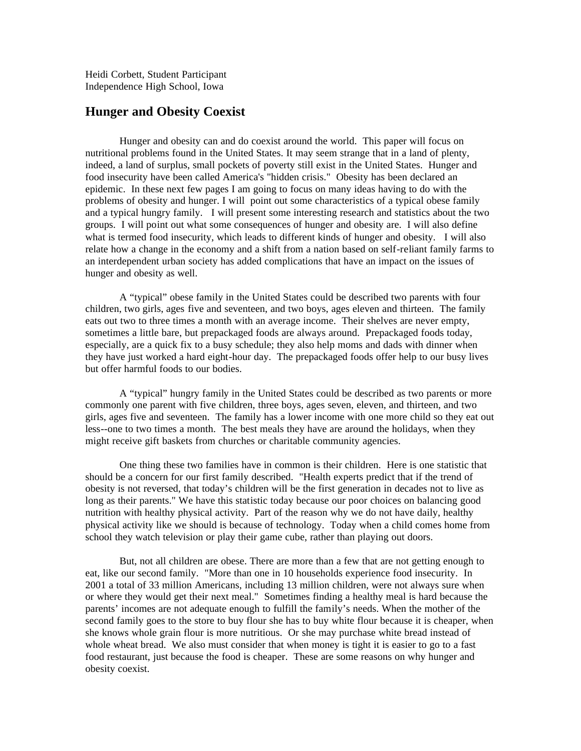Heidi Corbett, Student Participant Independence High School, Iowa

## **Hunger and Obesity Coexist**

Hunger and obesity can and do coexist around the world. This paper will focus on nutritional problems found in the United States. It may seem strange that in a land of plenty, indeed, a land of surplus, small pockets of poverty still exist in the United States. Hunger and food insecurity have been called America's "hidden crisis." Obesity has been declared an epidemic. In these next few pages I am going to focus on many ideas having to do with the problems of obesity and hunger. I will point out some characteristics of a typical obese family and a typical hungry family. I will present some interesting research and statistics about the two groups. I will point out what some consequences of hunger and obesity are. I will also define what is termed food insecurity, which leads to different kinds of hunger and obesity. I will also relate how a change in the economy and a shift from a nation based on self-reliant family farms to an interdependent urban society has added complications that have an impact on the issues of hunger and obesity as well.

A "typical" obese family in the United States could be described two parents with four children, two girls, ages five and seventeen, and two boys, ages eleven and thirteen. The family eats out two to three times a month with an average income. Their shelves are never empty, sometimes a little bare, but prepackaged foods are always around. Prepackaged foods today, especially, are a quick fix to a busy schedule; they also help moms and dads with dinner when they have just worked a hard eight-hour day. The prepackaged foods offer help to our busy lives but offer harmful foods to our bodies.

A "typical" hungry family in the United States could be described as two parents or more commonly one parent with five children, three boys, ages seven, eleven, and thirteen, and two girls, ages five and seventeen. The family has a lower income with one more child so they eat out less--one to two times a month. The best meals they have are around the holidays, when they might receive gift baskets from churches or charitable community agencies.

One thing these two families have in common is their children. Here is one statistic that should be a concern for our first family described. "Health experts predict that if the trend of obesity is not reversed, that today's children will be the first generation in decades not to live as long as their parents." We have this statistic today because our poor choices on balancing good nutrition with healthy physical activity. Part of the reason why we do not have daily, healthy physical activity like we should is because of technology. Today when a child comes home from school they watch television or play their game cube, rather than playing out doors.

But, not all children are obese. There are more than a few that are not getting enough to eat, like our second family. "More than one in 10 households experience food insecurity. In 2001 a total of 33 million Americans, including 13 million children, were not always sure when or where they would get their next meal." Sometimes finding a healthy meal is hard because the parents' incomes are not adequate enough to fulfill the family's needs. When the mother of the second family goes to the store to buy flour she has to buy white flour because it is cheaper, when she knows whole grain flour is more nutritious. Or she may purchase white bread instead of whole wheat bread. We also must consider that when money is tight it is easier to go to a fast food restaurant, just because the food is cheaper. These are some reasons on why hunger and obesity coexist.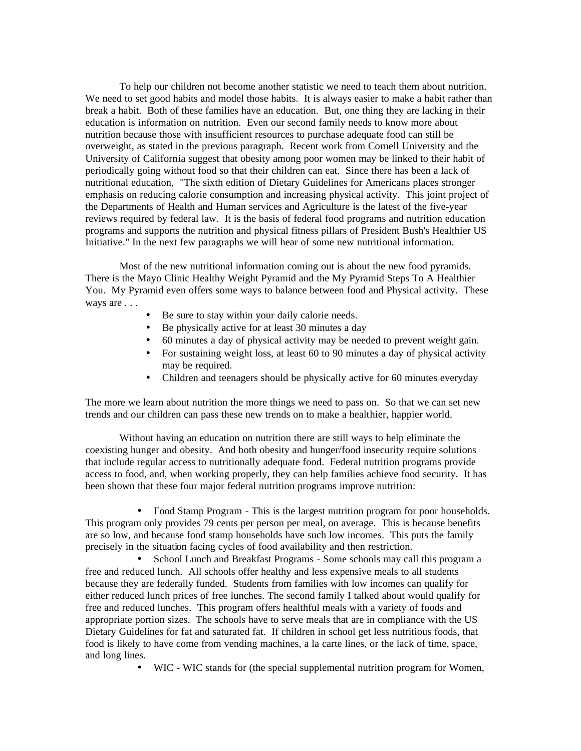To help our children not become another statistic we need to teach them about nutrition. We need to set good habits and model those habits. It is always easier to make a habit rather than break a habit. Both of these families have an education. But, one thing they are lacking in their education is information on nutrition. Even our second family needs to know more about nutrition because those with insufficient resources to purchase adequate food can still be overweight, as stated in the previous paragraph. Recent work from Cornell University and the University of California suggest that obesity among poor women may be linked to their habit of periodically going without food so that their children can eat. Since there has been a lack of nutritional education, "The sixth edition of Dietary Guidelines for Americans places stronger emphasis on reducing calorie consumption and increasing physical activity. This joint project of the Departments of Health and Human services and Agriculture is the latest of the five-year reviews required by federal law. It is the basis of federal food programs and nutrition education programs and supports the nutrition and physical fitness pillars of President Bush's Healthier US Initiative." In the next few paragraphs we will hear of some new nutritional information.

Most of the new nutritional information coming out is about the new food pyramids. There is the Mayo Clinic Healthy Weight Pyramid and the My Pyramid Steps To A Healthier You. My Pyramid even offers some ways to balance between food and Physical activity. These ways are . . .

- Be sure to stay within your daily calorie needs.
- Be physically active for at least 30 minutes a day
- 60 minutes a day of physical activity may be needed to prevent weight gain.
- For sustaining weight loss, at least 60 to 90 minutes a day of physical activity may be required.
- Children and teenagers should be physically active for 60 minutes everyday

The more we learn about nutrition the more things we need to pass on. So that we can set new trends and our children can pass these new trends on to make a healthier, happier world.

Without having an education on nutrition there are still ways to help eliminate the coexisting hunger and obesity. And both obesity and hunger/food insecurity require solutions that include regular access to nutritionally adequate food. Federal nutrition programs provide access to food, and, when working properly, they can help families achieve food security. It has been shown that these four major federal nutrition programs improve nutrition:

• Food Stamp Program - This is the largest nutrition program for poor households. This program only provides 79 cents per person per meal, on average. This is because benefits are so low, and because food stamp households have such low incomes. This puts the family precisely in the situation facing cycles of food availability and then restriction.

• School Lunch and Breakfast Programs - Some schools may call this program a free and reduced lunch. All schools offer healthy and less expensive meals to all students because they are federally funded. Students from families with low incomes can qualify for either reduced lunch prices of free lunches. The second family I talked about would qualify for free and reduced lunches. This program offers healthful meals with a variety of foods and appropriate portion sizes. The schools have to serve meals that are in compliance with the US Dietary Guidelines for fat and saturated fat. If children in school get less nutritious foods, that food is likely to have come from vending machines, a la carte lines, or the lack of time, space, and long lines.

• WIC - WIC stands for (the special supplemental nutrition program for Women,